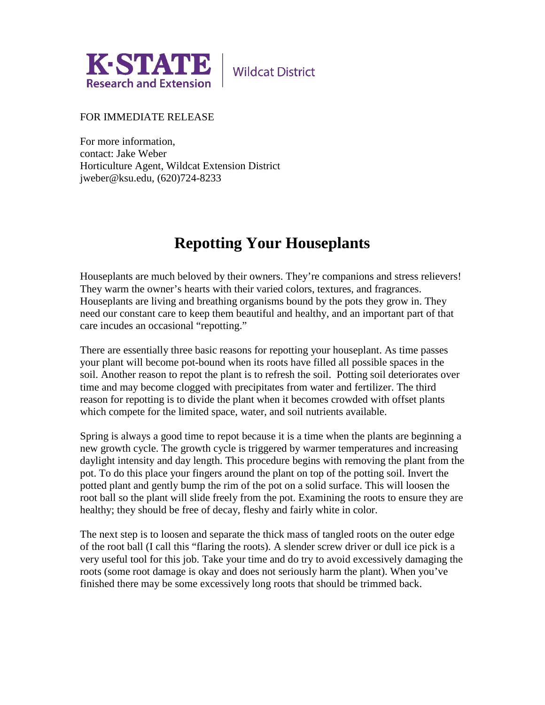

## FOR IMMEDIATE RELEASE

For more information, contact: Jake Weber Horticulture Agent, Wildcat Extension District jweber@ksu.edu, (620)724-8233

## **Repotting Your Houseplants**

Houseplants are much beloved by their owners. They're companions and stress relievers! They warm the owner's hearts with their varied colors, textures, and fragrances. Houseplants are living and breathing organisms bound by the pots they grow in. They need our constant care to keep them beautiful and healthy, and an important part of that care incudes an occasional "repotting."

There are essentially three basic reasons for repotting your houseplant. As time passes your plant will become pot-bound when its roots have filled all possible spaces in the soil. Another reason to repot the plant is to refresh the soil. Potting soil deteriorates over time and may become clogged with precipitates from water and fertilizer. The third reason for repotting is to divide the plant when it becomes crowded with offset plants which compete for the limited space, water, and soil nutrients available.

Spring is always a good time to repot because it is a time when the plants are beginning a new growth cycle. The growth cycle is triggered by warmer temperatures and increasing daylight intensity and day length. This procedure begins with removing the plant from the pot. To do this place your fingers around the plant on top of the potting soil. Invert the potted plant and gently bump the rim of the pot on a solid surface. This will loosen the root ball so the plant will slide freely from the pot. Examining the roots to ensure they are healthy; they should be free of decay, fleshy and fairly white in color.

The next step is to loosen and separate the thick mass of tangled roots on the outer edge of the root ball (I call this "flaring the roots). A slender screw driver or dull ice pick is a very useful tool for this job. Take your time and do try to avoid excessively damaging the roots (some root damage is okay and does not seriously harm the plant). When you've finished there may be some excessively long roots that should be trimmed back.